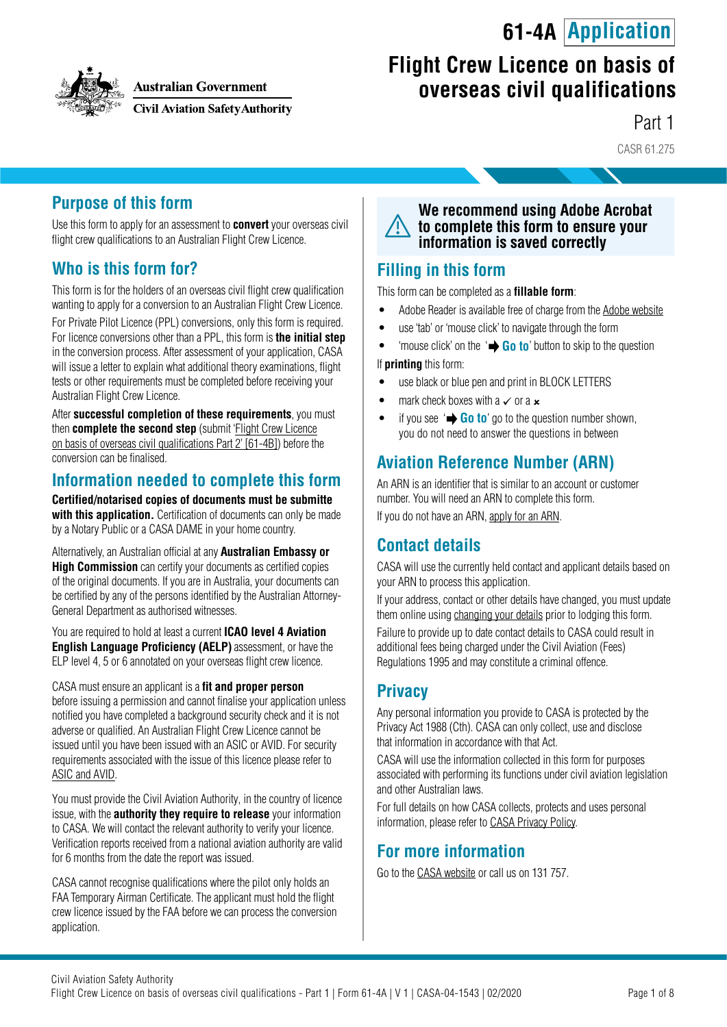# **61-4A Application**



**Australian Government** 

**Civil Aviation Safety Authority** 

# **Flight Crew Licence on basis of overseas civil qualifications**

Part 1

CASR 61.275

### **Purpose of this form**

Use this form to apply for an assessment to **convert** your overseas civil flight crew qualifications to an Australian Flight Crew Licence.

### **Who is this form for?**

This form is for the holders of an overseas civil flight crew qualification wanting to apply for a conversion to an Australian Flight Crew Licence.

For Private Pilot Licence (PPL) conversions, only this form is required. For licence conversions other than a PPL, this form is **the initial step** in the conversion process. After assessment of your application, CASA will issue a letter to explain what additional theory examinations, flight tests or other requirements must be completed before receiving your Australian Flight Crew Licence.

After **successful completion of these requirements**, you must then **complete the second step** (submit 'Flight Crew Licence [on basis of overseas civil qualifications Part 2' \[61-4B\]\) before the](https://www.casa.gov.au/publications-and-resources/forms-and-templates) conversion can be finalised.

### **Information needed to complete this form**

**Certified/notarised copies of documents must be submitte** with this application. Certification of documents can only be made by a Notary Public or a CASA DAME in your home country.

Alternatively, an Australian official at any**Australian Embassy or High Commission** can certify your documents as certified copies of the original documents. If you are in Australia, your documents can be certified by any of the persons identified by the Australian Attorney-General Department as authorised witnesses.

You are required to hold at least a current **ICAO level 4 Aviation English Language Proficiency (AELP)**assessment, or have the ELP level 4, 5 or 6 annotated on your overseas flight crew licence.

CASA must ensure an applicant is a **fit and proper person** before issuing a permission and cannot finalise your application unless notified you have completed a background security check and it is not adverse or qualified. An Australian Flight Crew Licence cannot be issued until you have been issued with an ASIC or AVID. For security requirements associated with the issue of this licence please refer to [ASIC and AVID.](https://www.casa.gov.au/licences-and-certification/individual-licensing/asics-and-avids)

You must provide the Civil Aviation Authority, in the country of licence issue, with the **authority they require to release** your information to CASA. We will contact the relevant authority to verify your licence. Verification reports received from a national aviation authority are valid for 6 months from the date the report was issued.

CASA cannot recognise qualifications where the pilot only holds an FAA Temporary Airman Certificate. The applicant must hold the flight crew licence issued by the FAA before we can process the conversion application.

**We recommend using Adobe Acrobat to complete this form to ensure your information is saved correctly**

### **Filling in this form**

This form can be completed as a **fillable form**:

- Adobe Reader is available free of charge from the [Adobe website](https://get.adobe.com/reader/)
- use 'tab' or 'mouse click' to navigate through the form
- 'mouse click' on the ' **Go to**' button to skip to the question If **printing** this form:
- use black or blue pen and print in BLOCK LETTERS
- mark check boxes with a  $\checkmark$  or a  $\checkmark$
- if you see  $\rightarrow$  **Go to**' go to the question number shown. you do not need to answer the questions in between

### **Aviation Reference Number (ARN)**

An ARN is an identifier that is similar to an account or customer number. You will need an ARN to complete this form.

If you do not have an ARN, [apply for an ARN](https://www.casa.gov.au/licences-and-certification/individual-licensing/applying-aviation-reference-number-arn).

### **Contact details**

CASA will use the currently held contact and applicant details based on your ARN to process this application.

If your address, contact or other details have changed, you must update them online using [changing your details](https://www.casa.gov.au/licences-and-certification/individual-licensing/licence-information/changing-your-details) prior to lodging this form.

Failure to provide up to date contact details to CASA could result in additional fees being charged under the Civil Aviation (Fees) Regulations 1995 and may constitute a criminal offence.

### **Privacy**

Any personal information you provide to CASA is protected by the Privacy Act 1988 (Cth). CASA can only collect, use and disclose that information in accordance with that Act.

CASA will use the information collected in this form for purposes associated with performing its functions under civil aviation legislation and other Australian laws.

For full details on how CASA collects, protects and uses personal information, please refer to [CASA Privacy Policy](http://www.casa.gov.au/privacy-policy).

### **For more information**

Go to the [CASA website](http://www.casa.gov.au) or call us on 131 757.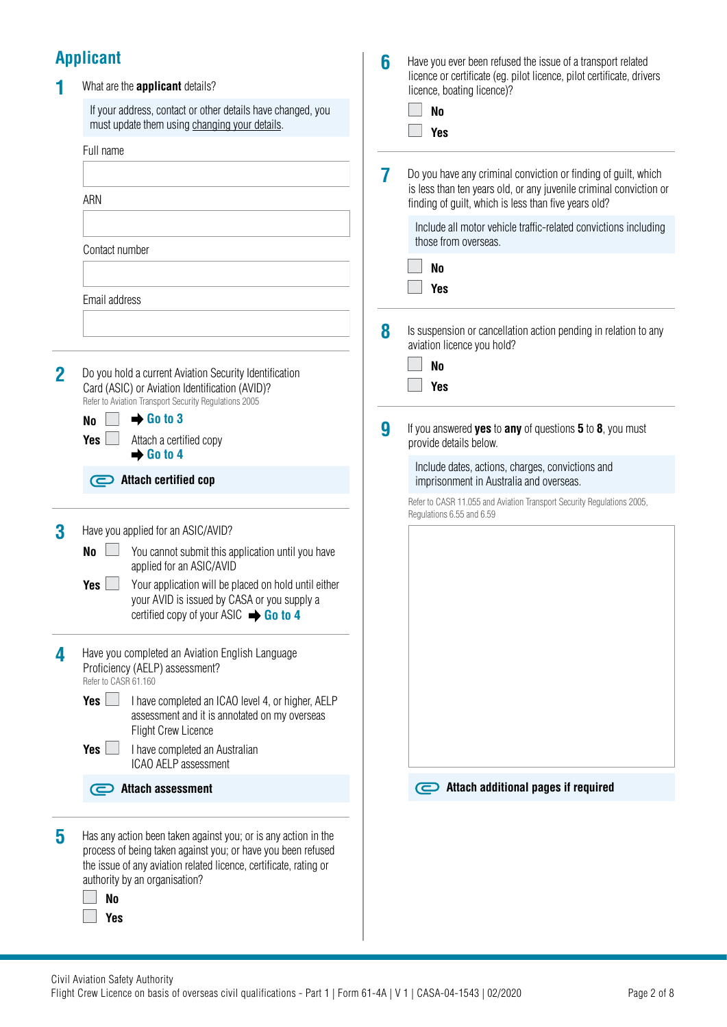# **Applicant**

|              | <b>Applicant</b>                                                                                                                                                                                                                                                     | 6 | Have you ever been refused the issue of a transport related                                                                                                                                  |
|--------------|----------------------------------------------------------------------------------------------------------------------------------------------------------------------------------------------------------------------------------------------------------------------|---|----------------------------------------------------------------------------------------------------------------------------------------------------------------------------------------------|
|              | What are the <b>applicant</b> details?                                                                                                                                                                                                                               |   | licence or certificate (eg. pilot licence, pilot certificate, drivers<br>licence, boating licence)?                                                                                          |
|              | If your address, contact or other details have changed, you<br>must update them using changing your details.                                                                                                                                                         |   | N <sub>0</sub><br><b>Yes</b>                                                                                                                                                                 |
|              | Full name                                                                                                                                                                                                                                                            |   |                                                                                                                                                                                              |
|              | ARN                                                                                                                                                                                                                                                                  | 7 | Do you have any criminal conviction or finding of guilt, which<br>is less than ten years old, or any juvenile criminal conviction or<br>finding of guilt, which is less than five years old? |
|              |                                                                                                                                                                                                                                                                      |   | Include all motor vehicle traffic-related convictions including<br>those from overseas.                                                                                                      |
|              | Contact number                                                                                                                                                                                                                                                       |   | N <sub>0</sub>                                                                                                                                                                               |
|              |                                                                                                                                                                                                                                                                      |   | <b>Yes</b>                                                                                                                                                                                   |
|              | Email address                                                                                                                                                                                                                                                        |   |                                                                                                                                                                                              |
|              |                                                                                                                                                                                                                                                                      | 8 | Is suspension or cancellation action pending in relation to any<br>aviation licence you hold?                                                                                                |
| $\mathbf{2}$ | Do you hold a current Aviation Security Identification                                                                                                                                                                                                               |   | N <sub>0</sub>                                                                                                                                                                               |
|              | Card (ASIC) or Aviation Identification (AVID)?<br>Refer to Aviation Transport Security Regulations 2005                                                                                                                                                              |   | <b>Yes</b>                                                                                                                                                                                   |
|              | $\rightarrow$ Go to 3<br><b>No</b>                                                                                                                                                                                                                                   |   |                                                                                                                                                                                              |
|              | <b>Yes</b><br>Attach a certified copy<br>$\rightarrow$ Go to 4                                                                                                                                                                                                       | 9 | If you answered yes to any of questions 5 to 8, you must<br>provide details below.                                                                                                           |
|              | Attach certified cop                                                                                                                                                                                                                                                 |   | Include dates, actions, charges, convictions and<br>imprisonment in Australia and overseas.                                                                                                  |
|              |                                                                                                                                                                                                                                                                      |   | Refer to CASR 11.055 and Aviation Transport Security Regulations 2005,<br>Regulations 6.55 and 6.59                                                                                          |
| 3            | Have you applied for an ASIC/AVID?                                                                                                                                                                                                                                   |   |                                                                                                                                                                                              |
|              | <b>No</b><br>You cannot submit this application until you have<br>applied for an ASIC/AVID                                                                                                                                                                           |   |                                                                                                                                                                                              |
|              | Your application will be placed on hold until either<br>Yes<br>your AVID is issued by CASA or you supply a<br>certified copy of your ASIC $\rightarrow$ Go to 4                                                                                                      |   |                                                                                                                                                                                              |
| 4            | Have you completed an Aviation English Language<br>Proficiency (AELP) assessment?<br>Refer to CASR 61.160                                                                                                                                                            |   |                                                                                                                                                                                              |
|              | Yes $\Box$<br>I have completed an ICAO level 4, or higher, AELP<br>assessment and it is annotated on my overseas<br><b>Flight Crew Licence</b>                                                                                                                       |   |                                                                                                                                                                                              |
|              | <b>Yes</b><br>n a<br>I have completed an Australian<br>ICAO AELP assessment                                                                                                                                                                                          |   |                                                                                                                                                                                              |
|              | Attach assessment                                                                                                                                                                                                                                                    |   | Attach additional pages if required                                                                                                                                                          |
| 5            | Has any action been taken against you; or is any action in the<br>process of being taken against you; or have you been refused<br>the issue of any aviation related licence, certificate, rating or<br>authority by an organisation?<br>N <sub>0</sub><br><b>Yes</b> |   |                                                                                                                                                                                              |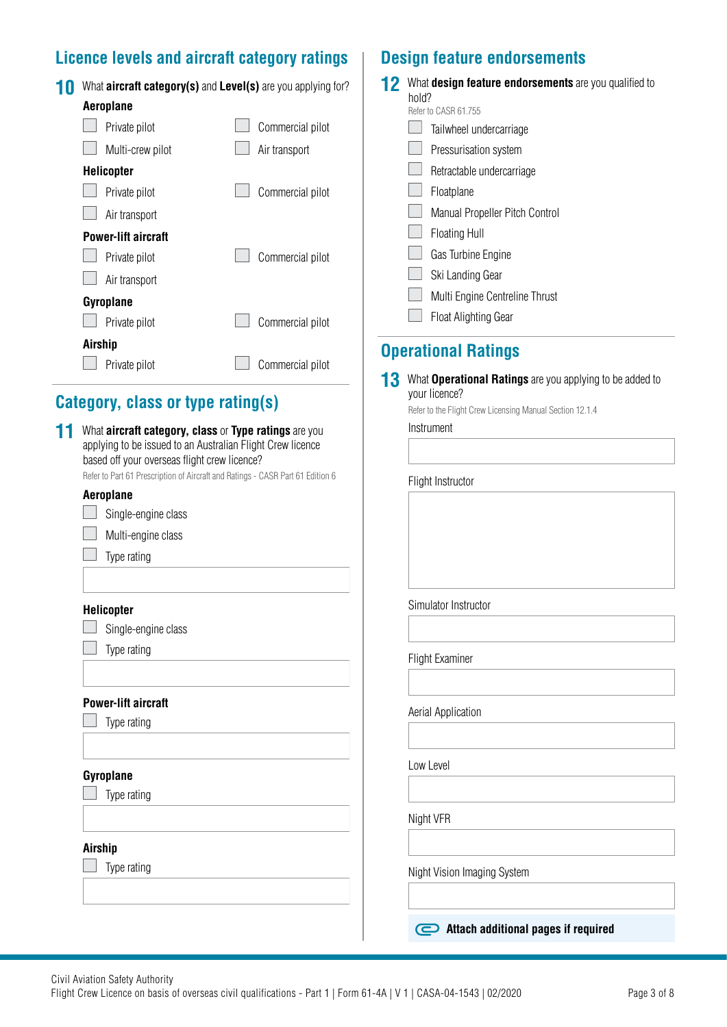### **Licence levels and aircraft category ratings Design feature endorsements**

| What <b>aircraft category(s)</b> and <b>Level(s)</b> are you applying for? |                  |  |
|----------------------------------------------------------------------------|------------------|--|
| <b>Aeroplane</b>                                                           |                  |  |
| Private pilot                                                              | Commercial pilot |  |
| Multi-crew pilot                                                           | Air transport    |  |
| <b>Helicopter</b>                                                          |                  |  |
| Private pilot                                                              | Commercial pilot |  |
| Air transport                                                              |                  |  |
| <b>Power-lift aircraft</b>                                                 |                  |  |
| Private pilot                                                              | Commercial pilot |  |
| Air transport                                                              |                  |  |
| Gyroplane                                                                  |                  |  |
| Private pilot                                                              | Commercial pilot |  |
| Airship                                                                    |                  |  |
| Private pilot                                                              | Commercial pilot |  |

## **Category, class or type rating(s)**

### **11** What **aircraft category, class** or **Type ratings** are you Instrument applying to be issued to an Australian Flight Crew licence based off your overseas flight crew licence? Refer to Part 61 Prescription of Aircraft and Ratings - CASR Part 61 Edition 6 Flight Instructor **Aeroplane** 1 Single-engine class Multi-engine class ÷,  $\Box$  Type rating Simulator Instructor **Helicopter** I Single-engine class  $\Box$  Type rating Flight Examiner **Power-lift aircraft** Aerial Application  $\Box$  Type rating Low Level **Gyroplane**  $\Box$  Type rating Night VFR **Airship**  $\Box$  Type rating Night Vision Imaging System **Attach additional pages if required**

|    | 12 What design feature endorsements are you qualified to<br>hold?<br>Refer to CASR 61.755 |
|----|-------------------------------------------------------------------------------------------|
|    | Tailwheel undercarriage                                                                   |
|    | Pressurisation system                                                                     |
|    | Retractable undercarriage                                                                 |
|    | Floatplane                                                                                |
|    | Manual Propeller Pitch Control                                                            |
|    | <b>Floating Hull</b>                                                                      |
|    |                                                                                           |
|    | Gas Turbine Engine<br>Ski Landing Gear                                                    |
|    | Multi Engine Centreline Thrust                                                            |
|    | <b>Float Alighting Gear</b>                                                               |
|    |                                                                                           |
|    | <b>Operational Ratings</b>                                                                |
| 13 | What <b>Operational Ratings</b> are you applying to be added to<br>your licence?          |
|    | Refer to the Flight Crew Licensing Manual Section 12.1.4                                  |
|    | Instrument                                                                                |
|    |                                                                                           |
|    | Flight Instructor                                                                         |
|    |                                                                                           |
|    |                                                                                           |
|    | Simulator Instructor                                                                      |
|    |                                                                                           |
|    | <b>Flight Examiner</b>                                                                    |
|    |                                                                                           |
|    |                                                                                           |
|    | Aerial Application                                                                        |
|    | Low Level                                                                                 |
|    |                                                                                           |
|    | Night VFR                                                                                 |
|    | Night Vision Imaging System                                                               |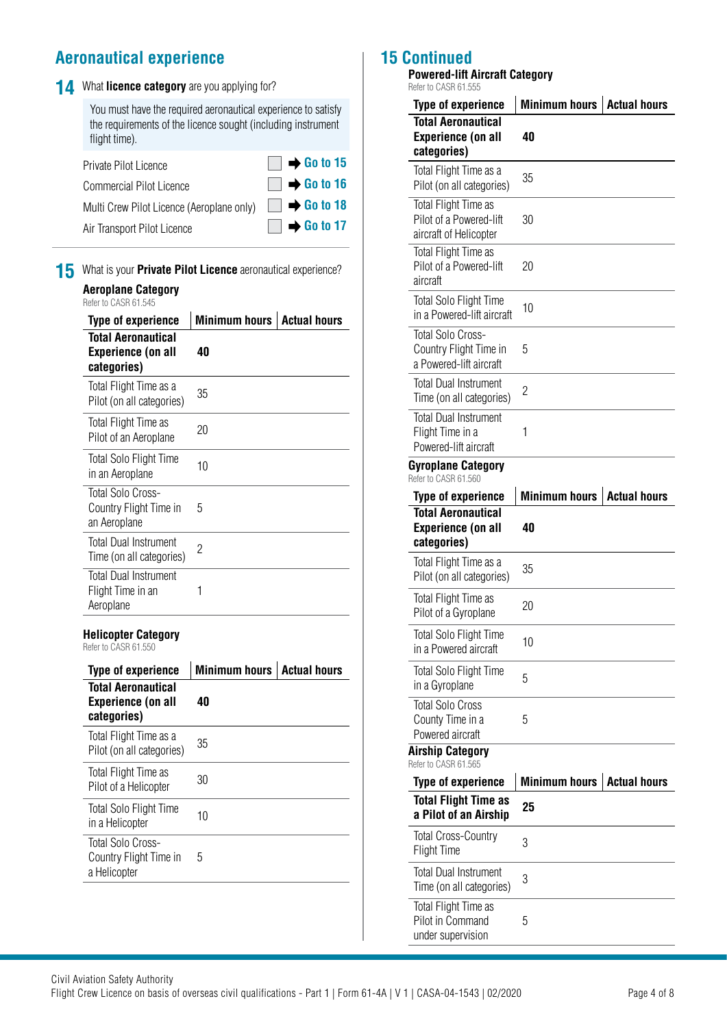## **Aeronautical experience**

|  | 14 What licence category are you applying for? |  |  |  |  |
|--|------------------------------------------------|--|--|--|--|
|--|------------------------------------------------|--|--|--|--|

You must have the required aeronautical experience to satisfy the requirements of the licence sought (including instrument flight time).

| Private Pilot Licence                                                     | $\Box \rightarrow$ Go to 15 |
|---------------------------------------------------------------------------|-----------------------------|
| <b>Commercial Pilot Licence</b>                                           | $\Box \rightarrow$ Go to 16 |
| Multi Crew Pilot Licence (Aeroplane only) <b>E</b> $\rightarrow$ Go to 18 |                             |
| Air Transport Pilot Licence                                               | $\Box \rightarrow$ Go to 17 |

**15** What is your **Private Pilot Licence** aeronautical experience?

| <b>Aeroplane Category</b> |  |  |
|---------------------------|--|--|
|                           |  |  |

| Refer to CASR 61.545                                                  |                      |                     |
|-----------------------------------------------------------------------|----------------------|---------------------|
| Type of experience                                                    | <b>Minimum hours</b> | <b>Actual hours</b> |
| <b>Total Aeronautical</b><br><b>Experience (on all</b><br>categories) | 40                   |                     |
| Total Flight Time as a<br>Pilot (on all categories)                   | 35                   |                     |
| Total Flight Time as<br>Pilot of an Aeroplane                         | 20                   |                     |
| <b>Total Solo Flight Time</b><br>in an Aeroplane                      | 10                   |                     |
| Total Solo Cross-<br>Country Flight Time in<br>an Aeroplane           | 5                    |                     |
| <b>Total Dual Instrument</b><br>Time (on all categories)              | 2                    |                     |
| <b>Total Dual Instrument</b><br>Flight Time in an<br>Aeroplane        | 1                    |                     |

### **Helicopter Category**

Refer to CASR 61.550

| <b>Type of experience</b>                                      | <b>Minimum hours</b> | <b>Actual hours</b> |
|----------------------------------------------------------------|----------------------|---------------------|
| Total Aeronautical<br><b>Experience (on all</b><br>categories) | 40                   |                     |
| Total Flight Time as a<br>Pilot (on all categories)            | 35                   |                     |
| Total Flight Time as<br>Pilot of a Helicopter                  | 30                   |                     |
| Total Solo Flight Time<br>in a Helicopter                      | 10                   |                     |
| Total Solo Cross-<br>Country Flight Time in<br>a Helicopter    | 5                    |                     |
|                                                                |                      |                     |

### **15 C**

| <b>Powered-lift Aircraft Category</b><br>Refer to CASR 61.555                      |                      |                     |
|------------------------------------------------------------------------------------|----------------------|---------------------|
| <b>Type of experience</b>                                                          | <b>Minimum hours</b> | <b>Actual hours</b> |
| <b>Total Aeronautical</b><br><b>Experience (on all</b><br>categories)              | 40                   |                     |
| Total Flight Time as a<br>Pilot (on all categories)                                | 35                   |                     |
| Total Flight Time as<br>Pilot of a Powered-lift<br>aircraft of Helicopter          | 30                   |                     |
| Total Flight Time as<br>Pilot of a Powered-lift<br>aircraft                        | 20                   |                     |
| <b>Total Solo Flight Time</b><br>in a Powered-lift aircraft                        | 10                   |                     |
| <b>Total Solo Cross-</b><br>Country Flight Time in<br>a Powered-lift aircraft      | 5                    |                     |
| <b>Total Dual Instrument</b><br>Time (on all categories)                           | $\overline{c}$       |                     |
| <b>Total Dual Instrument</b><br>Flight Time in a<br>Powered-lift aircraft          | 1                    |                     |
| Gyroplane Category<br>Refer to CASR 61.560                                         |                      |                     |
| <b>Type of experience</b>                                                          | <b>Minimum hours</b> | <b>Actual hours</b> |
| <b>Total Aeronautical</b><br><b>Experience (on all</b><br>categories)              | 40                   |                     |
| Total Flight Time as a<br>Pilot (on all categories)                                | 35                   |                     |
| Total Flight Time as<br>Pilot of a Gyroplane                                       | 20                   |                     |
| <b>Total Solo Flight Time</b><br>in a Powered aircraft                             | 10                   |                     |
| <b>Total Solo Flight Time</b><br>in a Gyroplane                                    | 5                    |                     |
|                                                                                    |                      |                     |
| <b>Total Solo Cross</b><br>County Time in a<br>Powered aircraft                    | 5                    |                     |
| <b>Airship Category</b><br>Refer to CASR 61.565                                    |                      |                     |
| <b>Type of experience</b>                                                          | <b>Minimum hours</b> | <b>Actual hours</b> |
| <b>Total Flight Time as</b><br>a Pilot of an Airship<br><b>Total Cross-Country</b> | 25                   |                     |

Total Dual Instrument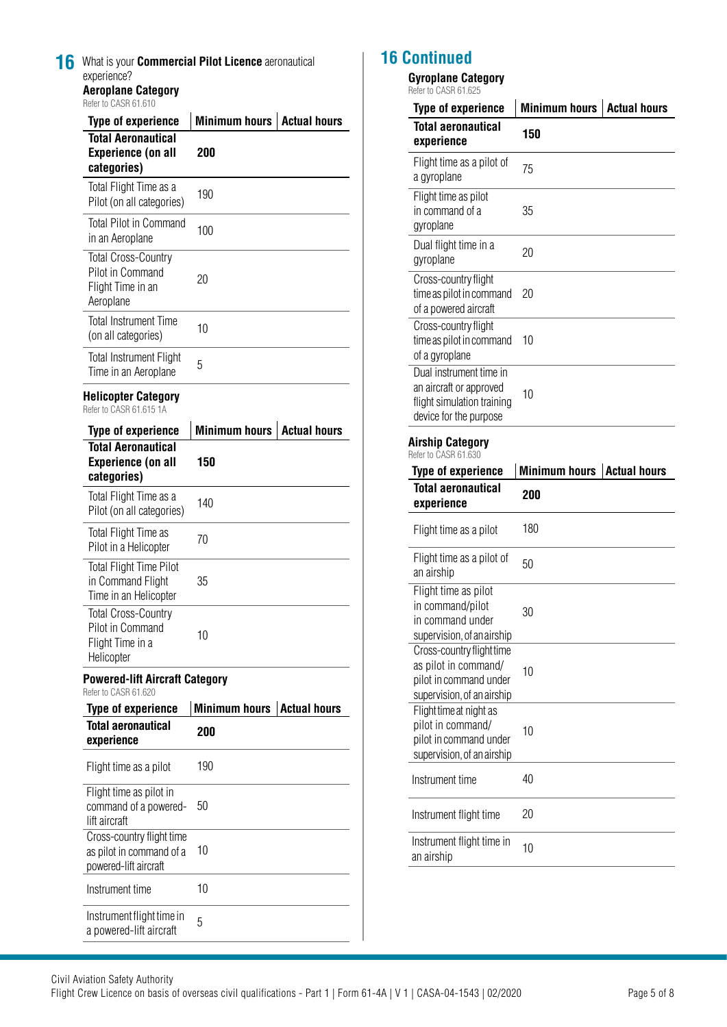| Refer to CASR 61.610                                                                               |                             |                     |
|----------------------------------------------------------------------------------------------------|-----------------------------|---------------------|
| <b>Type of experience</b><br><b>Total Aeronautical</b><br><b>Experience (on all</b><br>categories) | <b>Minimum hours</b><br>200 | <b>Actual hours</b> |
| Total Flight Time as a<br>Pilot (on all categories)                                                | 190                         |                     |
| <b>Total Pilot in Command</b><br>in an Aeroplane                                                   | 100                         |                     |
| <b>Total Cross-Country</b><br>Pilot in Command<br>Flight Time in an<br>Aeroplane                   | 20                          |                     |
| <b>Total Instrument Time</b><br>(on all categories)                                                | 10                          |                     |
| <b>Total Instrument Flight</b><br>Time in an Aeroplane                                             | 5                           |                     |
| <b>Helicopter Category</b><br>Refer to CASR 61.615 1A                                              |                             |                     |
| <b>Type of experience</b>                                                                          | <b>Minimum hours</b>        | <b>Actual hours</b> |
| <b>Total Aeronautical</b><br><b>Experience (on all</b><br>categories)                              | 150                         |                     |
| Total Flight Time as a<br>Pilot (on all categories)                                                | 140                         |                     |
| Total Flight Time as<br>Pilot in a Helicopter                                                      | 70                          |                     |
| <b>Total Flight Time Pilot</b><br>in Command Flight<br>Time in an Helicopter                       | 35                          |                     |
| <b>Total Cross-Country</b><br>Pilot in Command<br>Flight Time in a<br>Helicopter                   | 10                          |                     |
| <b>Powered-lift Aircraft Category</b><br>Refer to CASR 61 620                                      |                             |                     |
| <b>Type of experience</b>                                                                          | <b>Minimum hours</b>        | <b>Actual hours</b> |
| <b>Total aeronautical</b><br>experience                                                            | 200                         |                     |
| Flight time as a pilot                                                                             | 190                         |                     |
| Flight time as pilot in<br>command of a powered-<br>lift aircraft                                  | 50                          |                     |
| Cross-country flight time<br>as pilot in command of a                                              | 10                          |                     |
| powered-lift aircraft                                                                              |                             |                     |
| Instrument time                                                                                    | 10                          |                     |

### **16 Continued**

### **Gyroplane Category**

Refer to CASR 61.625

| האט.ווט הכראט וויוסופו                                                                                     |                      |                     |
|------------------------------------------------------------------------------------------------------------|----------------------|---------------------|
| <b>Type of experience</b>                                                                                  | <b>Minimum hours</b> | <b>Actual hours</b> |
| <b>Total aeronautical</b><br>experience                                                                    | 150                  |                     |
| Flight time as a pilot of<br>a gyroplane                                                                   | 75                   |                     |
| Flight time as pilot<br>in command of a<br>gyroplane                                                       | 35                   |                     |
| Dual flight time in a<br>gyroplane                                                                         | 20                   |                     |
| Cross-country flight<br>time as pilot in command<br>of a powered aircraft                                  | 20                   |                     |
| Cross-country flight<br>time as pilot in command<br>of a gyroplane                                         | 10                   |                     |
| Dual instrument time in<br>an aircraft or approved<br>flight simulation training<br>device for the purpose | 10                   |                     |
| <b>Airship Category</b>                                                                                    |                      |                     |
| Refer to CASR 61.630                                                                                       |                      |                     |
| <b>Type of experience</b>                                                                                  | <b>Minimum hours</b> | <b>Actual hours</b> |
| <b>Total aeronautical</b><br>experience                                                                    | 200                  |                     |
| Flight time as a pilot                                                                                     | 180                  |                     |
| Flight time as a pilot of<br>an airship                                                                    | 50                   |                     |
| Flight time as pilot<br>in command/pilot<br>in command under<br>supervision, of an airship                 | 30                   |                     |
| Cross-country flight time<br>as pilot in command/<br>pilot in command under<br>supervision, of an airship  | 10                   |                     |
| Flight time at night as<br>pilot in command/<br>pilot in command under<br>supervision, of an airship       | 10                   |                     |
| Instrument time                                                                                            | 40                   |                     |
| Instrument flight time                                                                                     | 20                   |                     |
|                                                                                                            |                      |                     |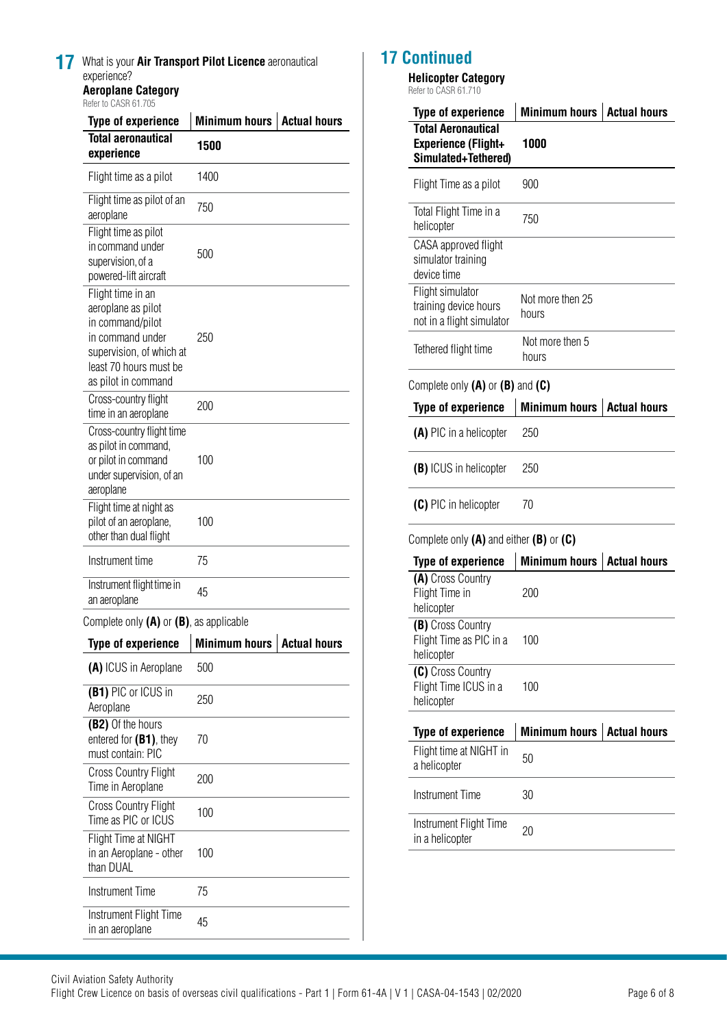| 17 | What is your Air Transport Pilot Licence aeronautical |
|----|-------------------------------------------------------|
|    | experience?                                           |
|    | <b>Aeroplane Category</b>                             |

Refer to CASR 61.705

| <b>Type of experience</b>                                                                                                                                    | Minimum hours<br><b>Actual hours</b> |                     |  |  |
|--------------------------------------------------------------------------------------------------------------------------------------------------------------|--------------------------------------|---------------------|--|--|
| <b>Total aeronautical</b><br>experience                                                                                                                      | 1500                                 |                     |  |  |
| Flight time as a pilot                                                                                                                                       | 1400                                 |                     |  |  |
| Flight time as pilot of an<br>aeroplane                                                                                                                      | 750                                  |                     |  |  |
| Flight time as pilot<br>in command under<br>supervision, of a<br>powered-lift aircraft                                                                       | 500                                  |                     |  |  |
| Flight time in an<br>aeroplane as pilot<br>in command/pilot<br>in command under<br>supervision, of which at<br>least 70 hours must be<br>as pilot in command | 250                                  |                     |  |  |
| Cross-country flight<br>time in an aeroplane                                                                                                                 | 200                                  |                     |  |  |
| Cross-country flight time<br>as pilot in command,<br>or pilot in command<br>under supervision, of an<br>aeroplane                                            | 100                                  |                     |  |  |
| Flight time at night as<br>pilot of an aeroplane,<br>other than dual flight                                                                                  | 100                                  |                     |  |  |
| Instrument time                                                                                                                                              | 75                                   |                     |  |  |
| Instrument flight time in<br>an aeroplane                                                                                                                    | 45                                   |                     |  |  |
| Complete only $(A)$ or $(B)$ , as applicable                                                                                                                 |                                      |                     |  |  |
| <b>Type of experience</b>                                                                                                                                    | <b>Minimum hours</b>                 | <b>Actual hours</b> |  |  |
| (A) ICUS in Aeroplane                                                                                                                                        | 500                                  |                     |  |  |
| (B1) PIC or ICUS in<br>Aeroplane                                                                                                                             | 250                                  |                     |  |  |
| (B2) Of the hours<br>entered for $(B1)$ , they<br>must contain: PIC                                                                                          | 70                                   |                     |  |  |
| <b>Cross Country Flight</b><br>Time in Aeroplane                                                                                                             | 200                                  |                     |  |  |
| <b>Cross Country Flight</b><br>Time as PIC or ICUS                                                                                                           | 100                                  |                     |  |  |
| Flight Time at NIGHT<br>in an Aeroplane - other<br>than DUAL                                                                                                 | 100                                  |                     |  |  |
| Instrument Time                                                                                                                                              | 75                                   |                     |  |  |
| Instrument Flight Time<br>in an aeroplane                                                                                                                    | 45                                   |                     |  |  |

### **17 Continued**

 $\overline{\phantom{a}}$ 

 $\overline{\phantom{a}}$ 

 $\overline{\phantom{a}}$ 

 $\overline{a}$ 

### **Helicopter Category**

Refer to CASR 61.710

| <b>Type of experience</b>                                                      | <b>Minimum hours</b>      | <b>Actual hours</b> |  |
|--------------------------------------------------------------------------------|---------------------------|---------------------|--|
| <b>Total Aeronautical</b><br><b>Experience (Flight+</b><br>Simulated+Tethered) | 1000                      |                     |  |
| Flight Time as a pilot                                                         | 900                       |                     |  |
| Total Flight Time in a<br>helicopter                                           | 750                       |                     |  |
| CASA approved flight<br>simulator training<br>device time                      |                           |                     |  |
| Flight simulator<br>training device hours<br>not in a flight simulator         | Not more then 25<br>hours |                     |  |
| Tethered flight time                                                           | Not more then 5<br>hours  |                     |  |
| Complete only $(A)$ or $(B)$ and $(C)$                                         |                           |                     |  |
| <b>Type of experience</b>                                                      | <b>Minimum hours</b>      | <b>Actual hours</b> |  |
| (A) PIC in a helicopter                                                        | 250                       |                     |  |
| (B) ICUS in helicopter                                                         | 250                       |                     |  |
| (C) PIC in helicopter                                                          | 70                        |                     |  |
| Complete only $(A)$ and either $(B)$ or $(C)$                                  |                           |                     |  |
| <b>Type of experience</b>                                                      | <b>Minimum hours</b>      | <b>Actual hours</b> |  |
| (A) Cross Country<br>Flight Time in<br>helicopter                              | 200                       |                     |  |
| (B) Cross Country<br>Flight Time as PIC in a<br>helicopter                     | 100                       |                     |  |
| (C) Cross Country<br>Flight Time ICUS in a<br>helicopter                       | 100                       |                     |  |
| <b>Type of experience</b>                                                      | <b>Minimum hours</b>      | <b>Actual hours</b> |  |
| Flight time at NIGHT in<br>a helicopter                                        | 50                        |                     |  |

| $u$ , $v$ , $v$ , $v$ , $v$ , $v$ , $v$   |     |
|-------------------------------------------|-----|
| Instrument Time                           | 30. |
| Instrument Flight Time<br>in a helicopter | 20  |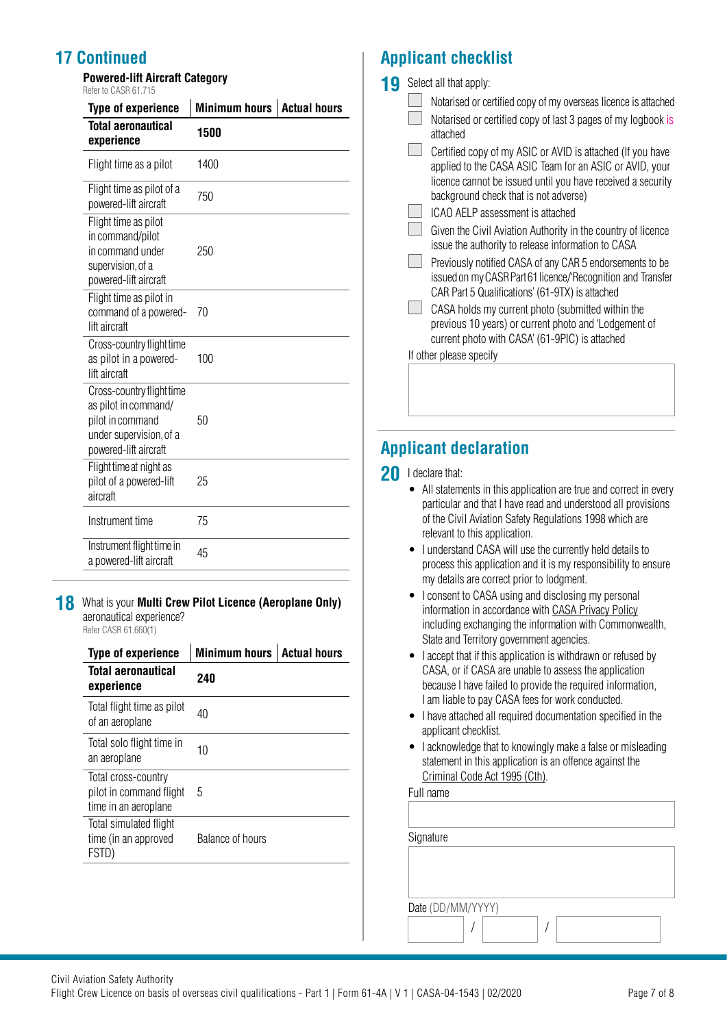## **17 Continued**

**Powered-lift Aircraft Category** Refer to CASR 61.715

| <b>Type of experience</b>                                                                                                 | <b>Minimum hours</b><br><b>Actual hours</b> |  |  |  |
|---------------------------------------------------------------------------------------------------------------------------|---------------------------------------------|--|--|--|
| <b>Total aeronautical</b><br>experience                                                                                   | 1500                                        |  |  |  |
| Flight time as a pilot                                                                                                    | 1400                                        |  |  |  |
| Flight time as pilot of a<br>powered-lift aircraft                                                                        | 750                                         |  |  |  |
| Flight time as pilot<br>in command/pilot<br>in command under<br>supervision, of a<br>powered-lift aircraft                | 250                                         |  |  |  |
| Flight time as pilot in<br>command of a powered-<br>lift aircraft                                                         | 70                                          |  |  |  |
| Cross-country flight time<br>as pilot in a powered-<br>lift aircraft                                                      | 100                                         |  |  |  |
| Cross-country flight time<br>as pilot in command/<br>pilot in command<br>under supervision, of a<br>powered-lift aircraft | 50                                          |  |  |  |
| Flight time at night as<br>pilot of a powered-lift<br>aircraft                                                            | 25                                          |  |  |  |
| Instrument time                                                                                                           | 75                                          |  |  |  |
| Instrument flight time in<br>a powered-lift aircraft                                                                      | 45                                          |  |  |  |

**18** What is your **Multi Crew Pilot Licence (Aeroplane Only)** aeronautical experience? Refer CASR 61.660(1)

| <b>Type of experience</b>                                              | <b>Minimum hours</b> | <b>Actual hours</b> |
|------------------------------------------------------------------------|----------------------|---------------------|
| Total aeronautical<br>experience                                       | 240                  |                     |
| Total flight time as pilot<br>of an aeroplane                          | 40                   |                     |
| Total solo flight time in<br>an aeroplane                              | 10                   |                     |
| Total cross-country<br>pilot in command flight<br>time in an aeroplane | 5                    |                     |
| Total simulated flight<br>time (in an approved<br>FSTD)                | Balance of hours     |                     |
|                                                                        |                      |                     |

## **Applicant checklist**

**19** Select all that apply:

|  |  |  |  |  | Notarised or certified copy of my overseas licence is attached |  |  |  |
|--|--|--|--|--|----------------------------------------------------------------|--|--|--|
|  |  |  |  |  |                                                                |  |  |  |

| $\Box$ Notarised or certified copy of last 3 pages of my logbook is<br>attached |
|---------------------------------------------------------------------------------|
|                                                                                 |

Certified copy of my ASIC or AVID is attached (If you have applied to the CASA ASIC Team for an ASIC or AVID, your licence cannot be issued until you have received a security background check that is not adverse)

ICAO AELP assessment is attached

Given the Civil Aviation Authority in the country of licence issue the authority to release information to CASA

**Previously notified CASA of any CAR 5 endorsements to be** issued on my CASR Part 61 licence/'Recognition and Transfer CAR Part 5 Qualifications' (61-9TX) is attached

 $\Box$  CASA holds my current photo (submitted within the previous 10 years) or current photo and 'Lodgement of current photo with CASA' (61-9PIC) is attached

If other please specify

## **Applicant declaration**

**20** I declare that:

- All statements in this application are true and correct in every particular and that I have read and understood all provisions of the Civil Aviation Safety Regulations 1998 which are relevant to this application.
- I understand CASA will use the currently held details to process this application and it is my responsibility to ensure my details are correct prior to lodgment.
- I consent to CASA using and disclosing my personal information in accordance with [CASA Privacy Policy](http://www.casa.gov.au/privacy-policy) including exchanging the information with Commonwealth, State and Territory government agencies.
- I accept that if this application is withdrawn or refused by CASA, or if CASA are unable to assess the application because I have failed to provide the required information, I am liable to pay CASA fees for work conducted.
- I have attached all required documentation specified in the applicant checklist.
- I acknowledge that to knowingly make a false or misleading statement in this application is an offence against the [Criminal Code Act 1995 \(Cth\).](https://www.legislation.gov.au/Details/C2018C00244)

### Full name

| Signature         |  |  |
|-------------------|--|--|
|                   |  |  |
|                   |  |  |
| Date (DD/MM/YYYY) |  |  |
|                   |  |  |
|                   |  |  |